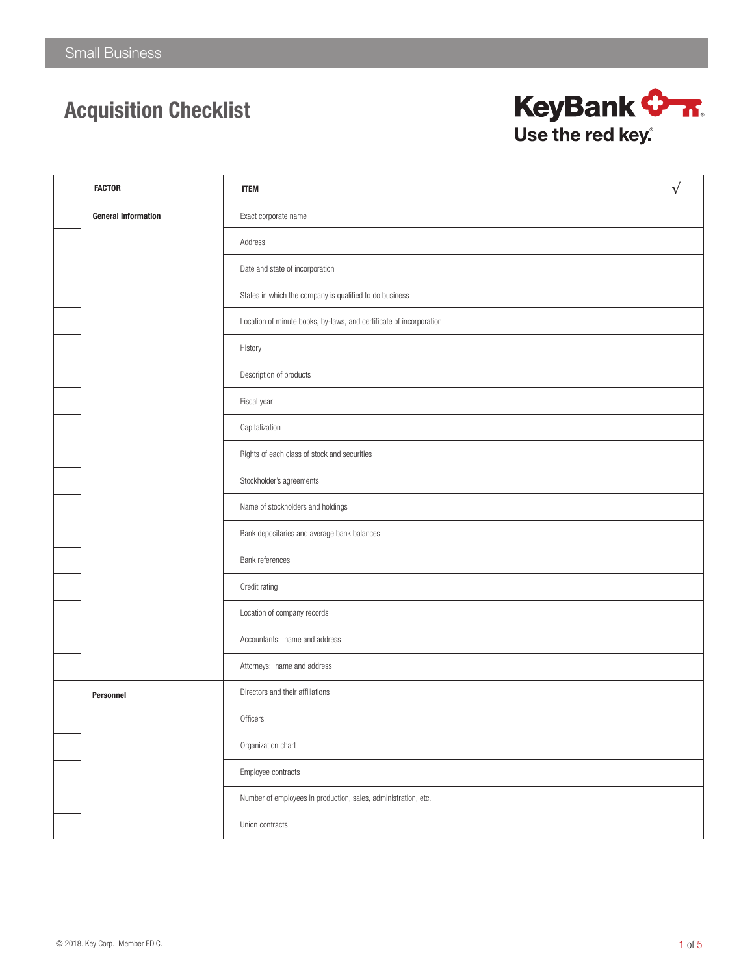

| <b>FACTOR</b>              | <b>ITEM</b>                                                         | $\sqrt{ }$ |
|----------------------------|---------------------------------------------------------------------|------------|
| <b>General Information</b> | Exact corporate name                                                |            |
|                            | Address                                                             |            |
|                            | Date and state of incorporation                                     |            |
|                            | States in which the company is qualified to do business             |            |
|                            | Location of minute books, by-laws, and certificate of incorporation |            |
|                            | History                                                             |            |
|                            | Description of products                                             |            |
|                            | Fiscal year                                                         |            |
|                            | Capitalization                                                      |            |
|                            | Rights of each class of stock and securities                        |            |
|                            | Stockholder's agreements                                            |            |
|                            | Name of stockholders and holdings                                   |            |
|                            | Bank depositaries and average bank balances                         |            |
|                            | Bank references                                                     |            |
|                            | Credit rating                                                       |            |
|                            | Location of company records                                         |            |
|                            | Accountants: name and address                                       |            |
|                            | Attorneys: name and address                                         |            |
| Personnel                  | Directors and their affiliations                                    |            |
|                            | Officers                                                            |            |
|                            | Organization chart                                                  |            |
|                            | Employee contracts                                                  |            |
|                            | Number of employees in production, sales, administration, etc.      |            |
|                            | Union contracts                                                     |            |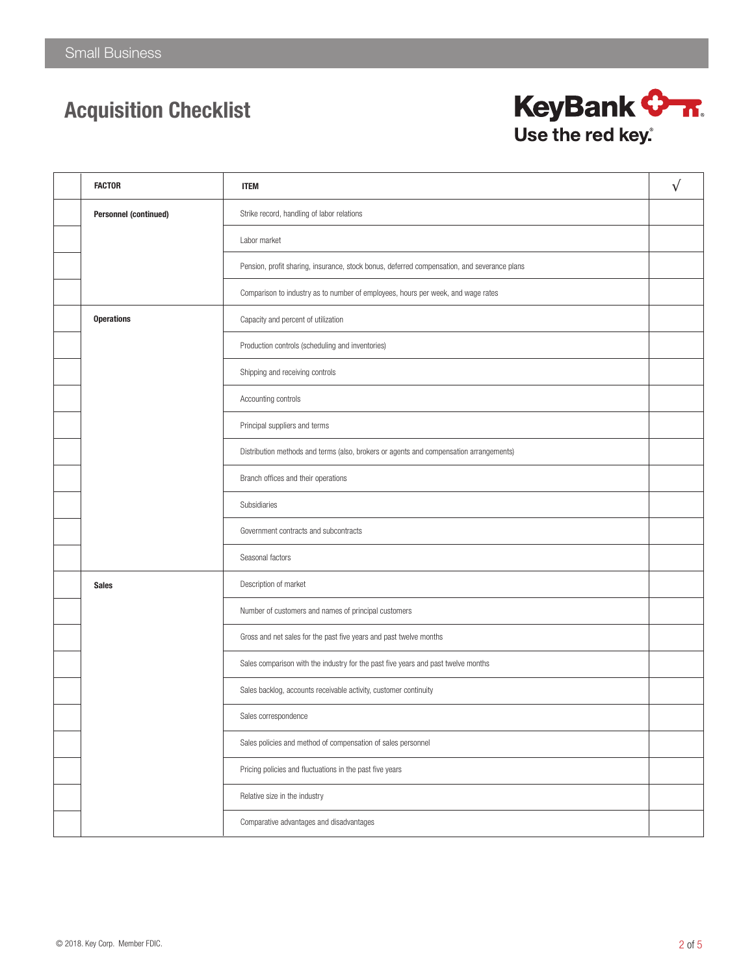

| <b>FACTOR</b>                | <b>ITEM</b>                                                                                 | $\sqrt{}$ |
|------------------------------|---------------------------------------------------------------------------------------------|-----------|
| <b>Personnel (continued)</b> | Strike record, handling of labor relations                                                  |           |
|                              | Labor market                                                                                |           |
|                              | Pension, profit sharing, insurance, stock bonus, deferred compensation, and severance plans |           |
|                              | Comparison to industry as to number of employees, hours per week, and wage rates            |           |
| <b>Operations</b>            | Capacity and percent of utilization                                                         |           |
|                              | Production controls (scheduling and inventories)                                            |           |
|                              | Shipping and receiving controls                                                             |           |
|                              | Accounting controls                                                                         |           |
|                              | Principal suppliers and terms                                                               |           |
|                              | Distribution methods and terms (also, brokers or agents and compensation arrangements)      |           |
|                              | Branch offices and their operations                                                         |           |
|                              | Subsidiaries                                                                                |           |
|                              | Government contracts and subcontracts                                                       |           |
|                              | Seasonal factors                                                                            |           |
| <b>Sales</b>                 | Description of market                                                                       |           |
|                              | Number of customers and names of principal customers                                        |           |
|                              | Gross and net sales for the past five years and past twelve months                          |           |
|                              | Sales comparison with the industry for the past five years and past twelve months           |           |
|                              | Sales backlog, accounts receivable activity, customer continuity                            |           |
|                              | Sales correspondence                                                                        |           |
|                              | Sales policies and method of compensation of sales personnel                                |           |
|                              | Pricing policies and fluctuations in the past five years                                    |           |
|                              | Relative size in the industry                                                               |           |
|                              | Comparative advantages and disadvantages                                                    |           |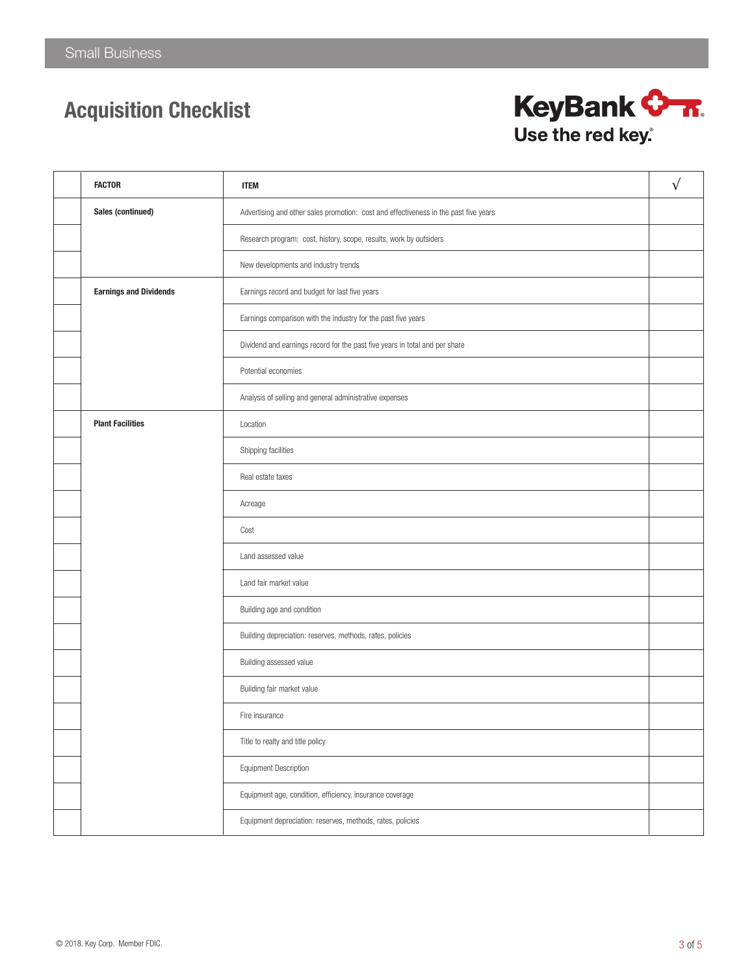

| <b>FACTOR</b>                 | <b>ITEM</b>                                                                          | $\sqrt{ }$ |
|-------------------------------|--------------------------------------------------------------------------------------|------------|
| Sales (continued)             | Advertising and other sales promotion: cost and effectiveness in the past five years |            |
|                               | Research program: cost, history, scope, results, work by outsiders                   |            |
|                               | New developments and industry trends                                                 |            |
| <b>Earnings and Dividends</b> | Earnings record and budget for last five years                                       |            |
|                               | Earnings comparison with the industry for the past five years                        |            |
|                               | Dividend and earnings record for the past five years in total and per share          |            |
|                               | Potential economies                                                                  |            |
|                               | Analysis of selling and general administrative expenses                              |            |
| <b>Plant Facilities</b>       | Location                                                                             |            |
|                               | Shipping facilities                                                                  |            |
|                               | Real estate taxes                                                                    |            |
|                               | Acreage                                                                              |            |
|                               | Cost                                                                                 |            |
|                               | Land assessed value                                                                  |            |
|                               | Land fair market value                                                               |            |
|                               | Building age and condition                                                           |            |
|                               | Building depreciation: reserves, methods, rates, policies                            |            |
|                               | Building assessed value                                                              |            |
|                               | Building fair market value                                                           |            |
|                               | Fire insurance                                                                       |            |
|                               | Title to realty and title policy                                                     |            |
|                               | Equipment Description                                                                |            |
|                               | Equipment age, condition, efficiency, insurance coverage                             |            |
|                               | Equipment depreciation: reserves, methods, rates, policies                           |            |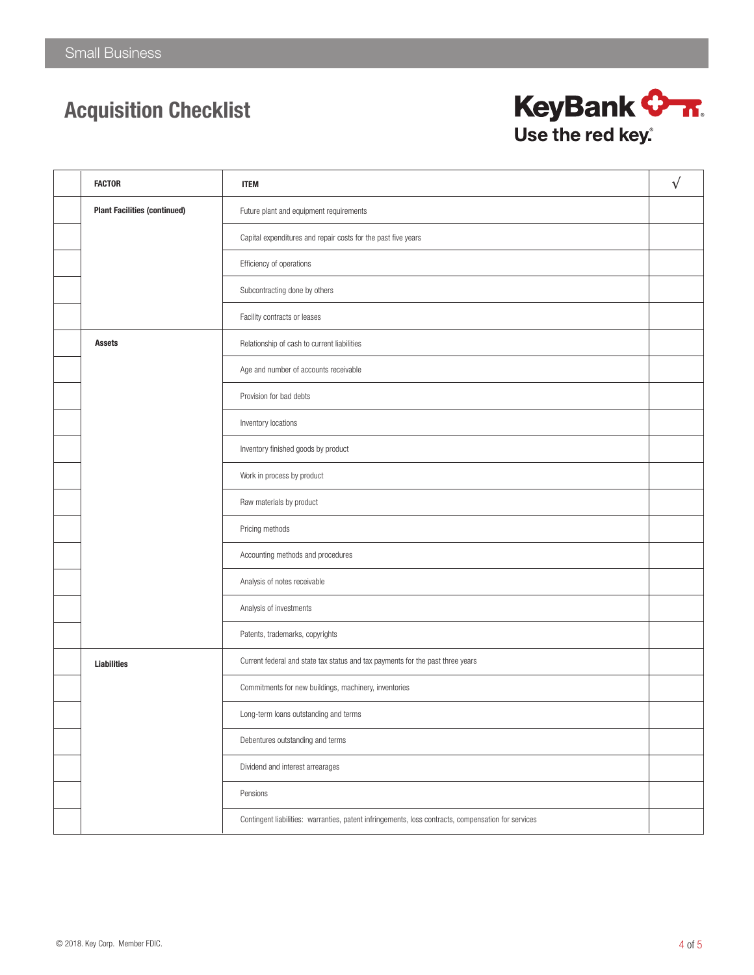

| <b>FACTOR</b>                       | <b>ITEM</b>                                                                                         | $\sqrt{}$ |
|-------------------------------------|-----------------------------------------------------------------------------------------------------|-----------|
| <b>Plant Facilities (continued)</b> | Future plant and equipment requirements                                                             |           |
|                                     | Capital expenditures and repair costs for the past five years                                       |           |
|                                     | Efficiency of operations                                                                            |           |
|                                     | Subcontracting done by others                                                                       |           |
|                                     | Facility contracts or leases                                                                        |           |
| <b>Assets</b>                       | Relationship of cash to current liabilities                                                         |           |
|                                     | Age and number of accounts receivable                                                               |           |
|                                     | Provision for bad debts                                                                             |           |
|                                     | Inventory locations                                                                                 |           |
|                                     | Inventory finished goods by product                                                                 |           |
|                                     | Work in process by product                                                                          |           |
|                                     | Raw materials by product                                                                            |           |
|                                     | Pricing methods                                                                                     |           |
|                                     | Accounting methods and procedures                                                                   |           |
|                                     | Analysis of notes receivable                                                                        |           |
|                                     | Analysis of investments                                                                             |           |
|                                     | Patents, trademarks, copyrights                                                                     |           |
| <b>Liabilities</b>                  | Current federal and state tax status and tax payments for the past three years                      |           |
|                                     | Commitments for new buildings, machinery, inventories                                               |           |
|                                     | Long-term loans outstanding and terms                                                               |           |
|                                     | Debentures outstanding and terms                                                                    |           |
|                                     | Dividend and interest arrearages                                                                    |           |
|                                     | Pensions                                                                                            |           |
|                                     | Contingent liabilities: warranties, patent infringements, loss contracts, compensation for services |           |